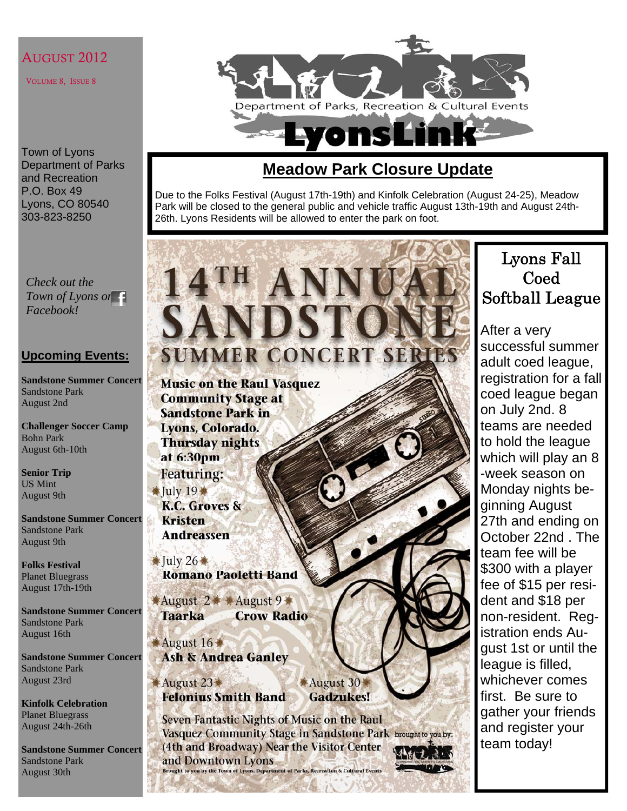#### AUGUST 2012

VOLUME 8, ISSUE 8

Town of Lyons Department of Parks and Recreation P.O. Box 49 Lyons, CO 80540 303-823-8250

Department of Parks, Recreation & Cultural Events **Lyons Lin** 

## **Meadow Park Closure Update**

Due to the Folks Festival (August 17th-19th) and Kinfolk Celebration (August 24-25), Meadow Park will be closed to the general public and vehicle traffic August 13th-19th and August 24th-26th. Lyons Residents will be allowed to enter the park on foot.

*Check out the Town of Lyons on Facebook!* 

#### **Upcoming Events:**

**Sandstone Summer Concert**  Sandstone Park August 2nd

**Challenger Soccer Camp**  Bohn Park August 6th-10th

**Senior Trip**  US Mint August 9th

**Sandstone Summer Concert**  Sandstone Park August 9th

**Folks Festival**  Planet Bluegrass August 17th-19th

**Sandstone Summer Concert**  Sandstone Park August 16th

**Sandstone Summer Concert**  Sandstone Park August 23rd

**Kinfolk Celebration**  Planet Bluegrass August 24th-26th

**Sandstone Summer Concert**  Sandstone Park August 30th

# **SANDST SUMMER CONCERT SERIES**

**14TH ANN** 

**Music on the Raul Vasquez Community Stage at Sandstone Park in** Lyons, Colorado. **Thursday nights** at 6:30pm **Featuring:**  $Iulv19$ K.C. Groves & **Kristen Andreassen**  $\overline{\text{Iuly 26}}$ **Romano Paoletti Band** ★August 2 ★ August 9 ★ **Taarka Crow Radio** August 16 **Ash & Andrea Ganley** August 30 August 23 **Felonius Smith Band Gadzukes!** 

Seven Fantastic Nights of Music on the Raul Vasquez Community Stage in Sandstone Park brought to you by: (4th and Broadway) Near the Visitor Center and Downtown Lyons Brought to you by the Town of Lyons. Department of Parks, Recreation & Cultural Events

# Lyons Fall Coed Softball League

After a very successful summer adult coed league, registration for a fall coed league began on July 2nd. 8 teams are needed to hold the league which will play an 8 -week season on Monday nights beginning August 27th and ending on October 22nd . The team fee will be \$300 with a player fee of \$15 per resident and \$18 per non-resident. Registration ends August 1st or until the league is filled, whichever comes first. Be sure to gather your friends and register your team today!